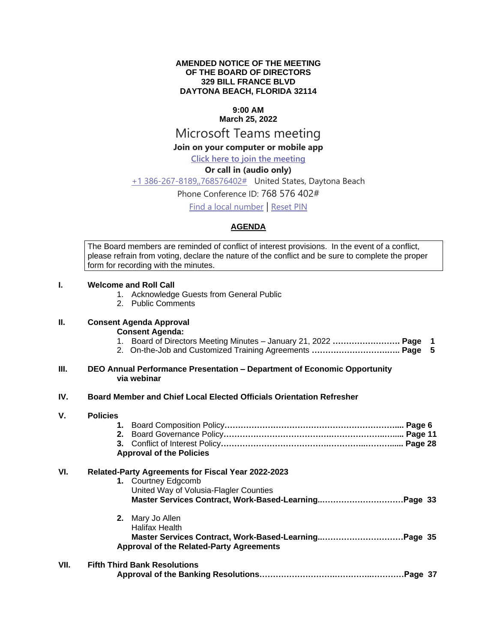#### **AMENDED NOTICE OF THE MEETING OF THE BOARD OF DIRECTORS 329 BILL FRANCE BLVD DAYTONA BEACH, FLORIDA 32114**

## **9:00 AM**

# **March 25, 2022**

## Microsoft Teams meeting

## **Join on your computer or mobile app**

## **[Click here to join the meeting](https://teams.microsoft.com/l/meetup-join/19%3ameeting_NmM5NDQ0N2QtZDQ0ZC00YzRhLWJjMjQtODg3YWYwOGI1NGI1%40thread.v2/0?context=%7b%22Tid%22%3a%22703cdf20-1c9c-4e1a-b125-6692f22d8b2b%22%2c%22Oid%22%3a%22c342d8c4-f205-4d1a-bc1a-5b49e430dd76%22%7d)**

#### **Or call in (audio only)**

#### [+1 386-267-8189,,768576402#](tel:+13862678189,,768576402# ) United States, Daytona Beach

#### Phone Conference ID: 768 576 402#

[Find a local number](https://dialin.teams.microsoft.com/9c696f14-a4b8-4aed-abeb-69578c5b61fe?id=768576402) | [Reset PIN](https://mysettings.lync.com/pstnconferencing)

#### **AGENDA**

The Board members are reminded of conflict of interest provisions. In the event of a conflict, please refrain from voting, declare the nature of the conflict and be sure to complete the proper form for recording with the minutes.

#### **I. Welcome and Roll Call**

- 1. Acknowledge Guests from General Public
- 2. Public Comments

#### **II. Consent Agenda Approval**

**Consent Agenda:**

- 1. Board of Directors Meeting Minutes January 21, 2022 **……………………. Page 1**
- 2. On-the-Job and Customized Training Agreements **……………………….….. Page 5**

#### **III. DEO Annual Performance Presentation – Department of Economic Opportunity via webinar**

#### **IV. Board Member and Chief Local Elected Officials Orientation Refresher**

| V.   | <b>Policies</b>                                           |                                                      |  |  |
|------|-----------------------------------------------------------|------------------------------------------------------|--|--|
|      | 1.                                                        |                                                      |  |  |
|      | 2.                                                        |                                                      |  |  |
|      |                                                           |                                                      |  |  |
|      | <b>Approval of the Policies</b>                           |                                                      |  |  |
| VI.  | <b>Related-Party Agreements for Fiscal Year 2022-2023</b> |                                                      |  |  |
|      |                                                           | 1. Courtney Edgcomb                                  |  |  |
|      |                                                           | United Way of Volusia-Flagler Counties               |  |  |
|      |                                                           |                                                      |  |  |
|      |                                                           | 2. Mary Jo Allen                                     |  |  |
|      |                                                           | Halifax Health                                       |  |  |
|      |                                                           | Master Services Contract, Work-Based-LearningPage 35 |  |  |
|      |                                                           | <b>Approval of the Related-Party Agreements</b>      |  |  |
| VII. | <b>Fifth Third Bank Resolutions</b>                       |                                                      |  |  |
|      |                                                           |                                                      |  |  |